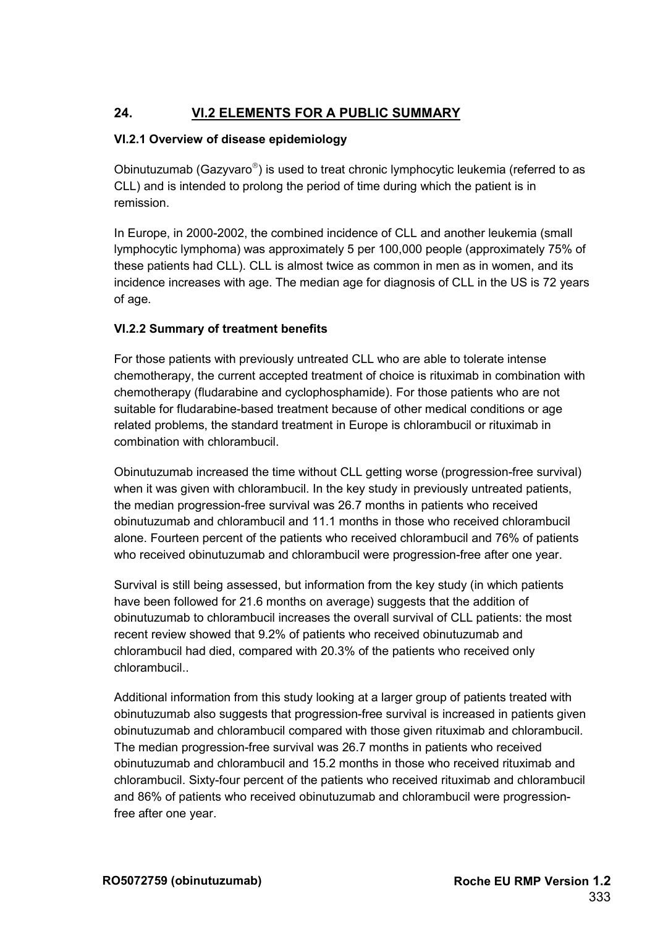# **24. VI.2 ELEMENTS FOR A PUBLIC SUMMARY**

## **VI.2.1 Overview of disease epidemiology**

Obinutuzumab (Gazyvaro®) is used to treat chronic lymphocytic leukemia (referred to as CLL) and is intended to prolong the period of time during which the patient is in remission.

In Europe, in 2000-2002, the combined incidence of CLL and another leukemia (small lymphocytic lymphoma) was approximately 5 per 100,000 people (approximately 75% of these patients had CLL). CLL is almost twice as common in men as in women, and its incidence increases with age. The median age for diagnosis of CLL in the US is 72 years of age.

## **VI.2.2 Summary of treatment benefits**

For those patients with previously untreated CLL who are able to tolerate intense chemotherapy, the current accepted treatment of choice is rituximab in combination with chemotherapy (fludarabine and cyclophosphamide). For those patients who are not suitable for fludarabine-based treatment because of other medical conditions or age related problems, the standard treatment in Europe is chlorambucil or rituximab in combination with chlorambucil.

Obinutuzumab increased the time without CLL getting worse (progression-free survival) when it was given with chlorambucil. In the key study in previously untreated patients, the median progression-free survival was 26.7 months in patients who received obinutuzumab and chlorambucil and 11.1 months in those who received chlorambucil alone. Fourteen percent of the patients who received chlorambucil and 76% of patients who received obinutuzumab and chlorambucil were progression-free after one year.

Survival is still being assessed, but information from the key study (in which patients have been followed for 21.6 months on average) suggests that the addition of obinutuzumab to chlorambucil increases the overall survival of CLL patients: the most recent review showed that 9.2% of patients who received obinutuzumab and chlorambucil had died, compared with 20.3% of the patients who received only chlorambucil..

Additional information from this study looking at a larger group of patients treated with obinutuzumab also suggests that progression-free survival is increased in patients given obinutuzumab and chlorambucil compared with those given rituximab and chlorambucil. The median progression-free survival was 26.7 months in patients who received obinutuzumab and chlorambucil and 15.2 months in those who received rituximab and chlorambucil. Sixty-four percent of the patients who received rituximab and chlorambucil and 86% of patients who received obinutuzumab and chlorambucil were progressionfree after one year.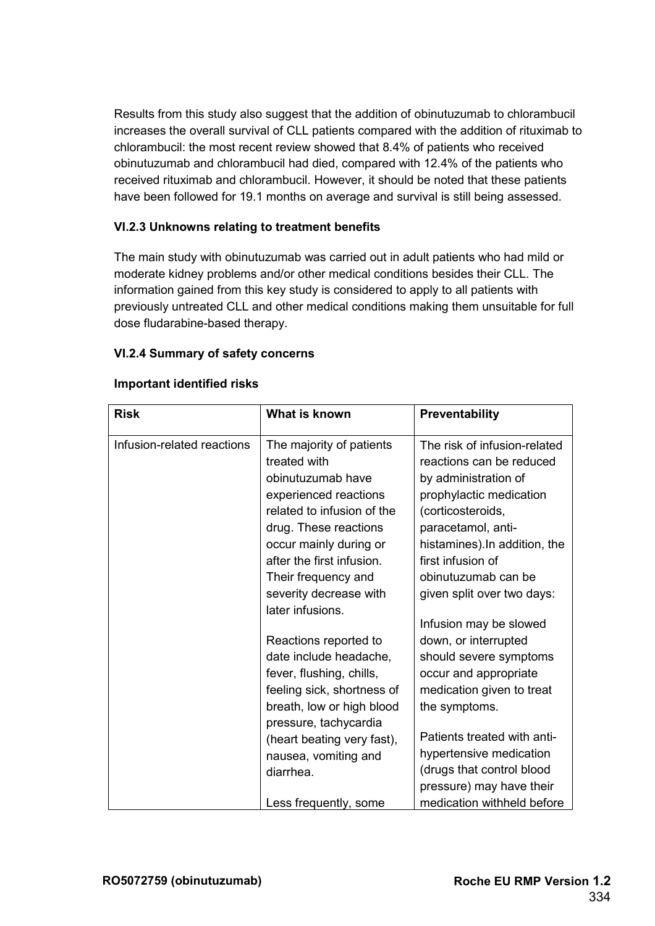Results from this study also suggest that the addition of obinutuzumab to chlorambucil increases the overall survival of CLL patients compared with the addition of rituximab to chlorambucil: the most recent review showed that 8.4% of patients who received obinutuzumab and chlorambucil had died, compared with 12.4% of the patients who received rituximab and chlorambucil. However, it should be noted that these patients have been followed for 19.1 months on average and survival is still being assessed.

## **VI.2.3 Unknowns relating to treatment benefits**

The main study with obinutuzumab was carried out in adult patients who had mild or moderate kidney problems and/or other medical conditions besides their CLL. The information gained from this key study is considered to apply to all patients with previously untreated CLL and other medical conditions making them unsuitable for full dose fludarabine-based therapy.

### **VI.2.4 Summary of safety concerns**

| <b>Risk</b>                | What is known                                                                                                                                                                                        | Preventability                                                                                                                                                                                               |
|----------------------------|------------------------------------------------------------------------------------------------------------------------------------------------------------------------------------------------------|--------------------------------------------------------------------------------------------------------------------------------------------------------------------------------------------------------------|
| Infusion-related reactions | The majority of patients<br>treated with<br>obinutuzumab have<br>experienced reactions<br>related to infusion of the<br>drug. These reactions<br>occur mainly during or<br>after the first infusion. | The risk of infusion-related<br>reactions can be reduced<br>by administration of<br>prophylactic medication<br>(corticosteroids,<br>paracetamol, anti-<br>histamines). In addition, the<br>first infusion of |
|                            | Their frequency and<br>severity decrease with<br>later infusions.                                                                                                                                    | obinutuzumab can be<br>given split over two days:                                                                                                                                                            |
|                            | Reactions reported to<br>date include headache,<br>fever, flushing, chills,<br>feeling sick, shortness of<br>breath, low or high blood                                                               | Infusion may be slowed<br>down, or interrupted<br>should severe symptoms<br>occur and appropriate<br>medication given to treat<br>the symptoms.                                                              |
|                            | pressure, tachycardia<br>(heart beating very fast),<br>nausea, vomiting and<br>diarrhea.<br>Less frequently, some                                                                                    | Patients treated with anti-<br>hypertensive medication<br>(drugs that control blood<br>pressure) may have their<br>medication withheld before                                                                |

#### **Important identified risks**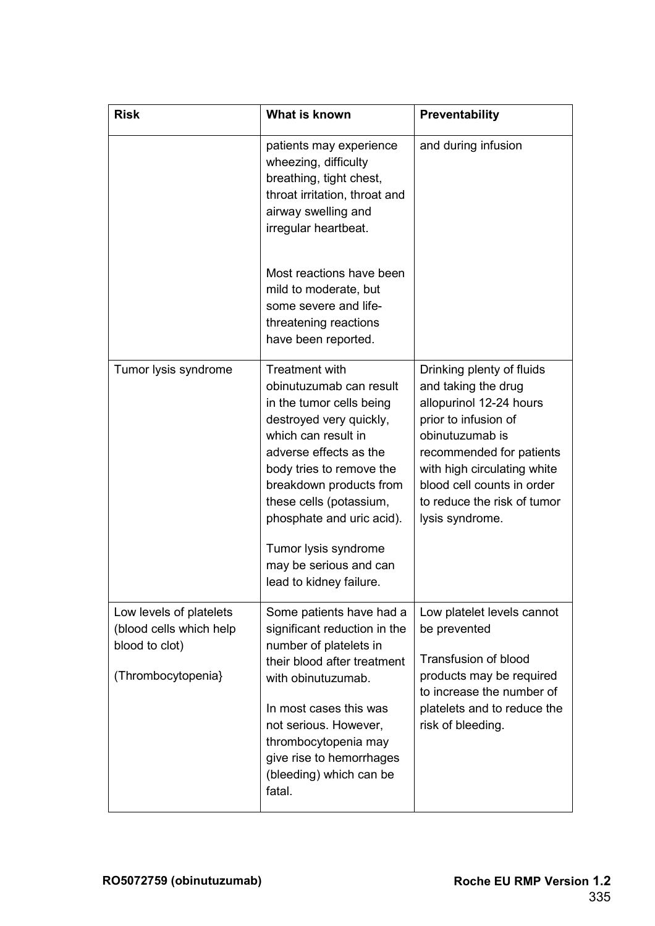| <b>Risk</b>                                                                                | What is known                                                                                                                                                                                                                                                                                                                                 | <b>Preventability</b>                                                                                                                                                                                                                                             |
|--------------------------------------------------------------------------------------------|-----------------------------------------------------------------------------------------------------------------------------------------------------------------------------------------------------------------------------------------------------------------------------------------------------------------------------------------------|-------------------------------------------------------------------------------------------------------------------------------------------------------------------------------------------------------------------------------------------------------------------|
|                                                                                            | patients may experience<br>wheezing, difficulty<br>breathing, tight chest,<br>throat irritation, throat and<br>airway swelling and<br>irregular heartbeat.                                                                                                                                                                                    | and during infusion                                                                                                                                                                                                                                               |
|                                                                                            | Most reactions have been<br>mild to moderate, but<br>some severe and life-<br>threatening reactions<br>have been reported.                                                                                                                                                                                                                    |                                                                                                                                                                                                                                                                   |
| Tumor lysis syndrome                                                                       | Treatment with<br>obinutuzumab can result<br>in the tumor cells being<br>destroyed very quickly,<br>which can result in<br>adverse effects as the<br>body tries to remove the<br>breakdown products from<br>these cells (potassium,<br>phosphate and uric acid).<br>Tumor lysis syndrome<br>may be serious and can<br>lead to kidney failure. | Drinking plenty of fluids<br>and taking the drug<br>allopurinol 12-24 hours<br>prior to infusion of<br>obinutuzumab is<br>recommended for patients<br>with high circulating white<br>blood cell counts in order<br>to reduce the risk of tumor<br>lysis syndrome. |
| Low levels of platelets<br>(blood cells which help<br>blood to clot)<br>(Thrombocytopenia) | Some patients have had a<br>significant reduction in the<br>number of platelets in<br>their blood after treatment<br>with obinutuzumab.<br>In most cases this was<br>not serious. However,<br>thrombocytopenia may<br>give rise to hemorrhages<br>(bleeding) which can be<br>fatal.                                                           | Low platelet levels cannot<br>be prevented<br><b>Transfusion of blood</b><br>products may be required<br>to increase the number of<br>platelets and to reduce the<br>risk of bleeding.                                                                            |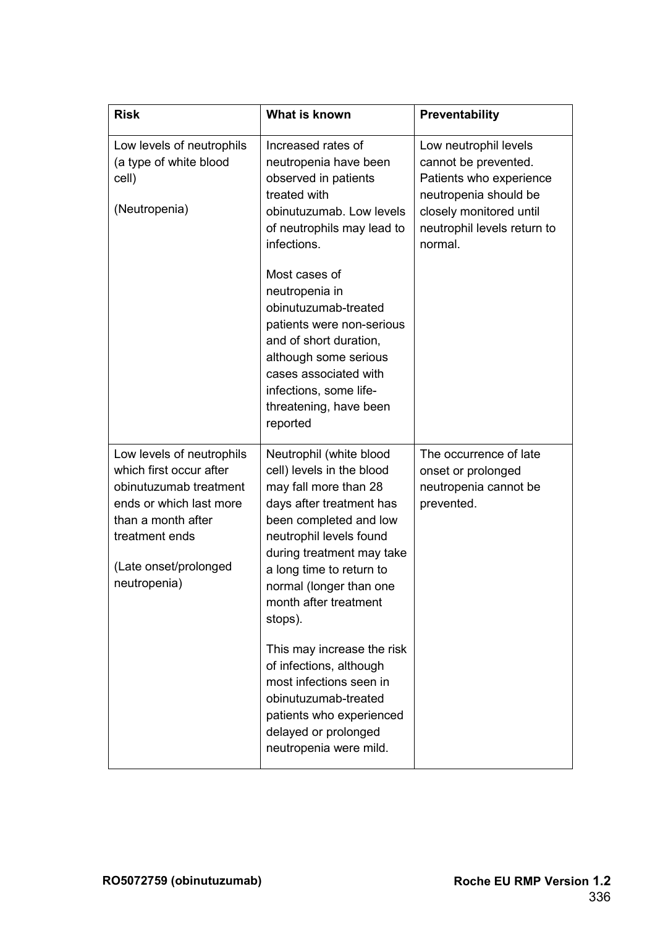| <b>Risk</b>                                                                                                                                                                                | What is known                                                                                                                                                                                                                                                                          | Preventability                                                                                                                                                         |
|--------------------------------------------------------------------------------------------------------------------------------------------------------------------------------------------|----------------------------------------------------------------------------------------------------------------------------------------------------------------------------------------------------------------------------------------------------------------------------------------|------------------------------------------------------------------------------------------------------------------------------------------------------------------------|
| Low levels of neutrophils<br>(a type of white blood<br>cell)<br>(Neutropenia)                                                                                                              | Increased rates of<br>neutropenia have been<br>observed in patients<br>treated with<br>obinutuzumab. Low levels<br>of neutrophils may lead to<br>infections.                                                                                                                           | Low neutrophil levels<br>cannot be prevented.<br>Patients who experience<br>neutropenia should be<br>closely monitored until<br>neutrophil levels return to<br>normal. |
|                                                                                                                                                                                            | Most cases of<br>neutropenia in<br>obinutuzumab-treated<br>patients were non-serious<br>and of short duration,<br>although some serious<br>cases associated with<br>infections, some life-<br>threatening, have been<br>reported                                                       |                                                                                                                                                                        |
| Low levels of neutrophils<br>which first occur after<br>obinutuzumab treatment<br>ends or which last more<br>than a month after<br>treatment ends<br>(Late onset/prolonged<br>neutropenia) | Neutrophil (white blood<br>cell) levels in the blood<br>may fall more than 28<br>days after treatment has<br>been completed and low<br>neutrophil levels found<br>during treatment may take<br>a long time to return to<br>normal (longer than one<br>month after treatment<br>stops). | The occurrence of late<br>onset or prolonged<br>neutropenia cannot be<br>prevented.                                                                                    |
|                                                                                                                                                                                            | This may increase the risk<br>of infections, although<br>most infections seen in<br>obinutuzumab-treated<br>patients who experienced<br>delayed or prolonged<br>neutropenia were mild.                                                                                                 |                                                                                                                                                                        |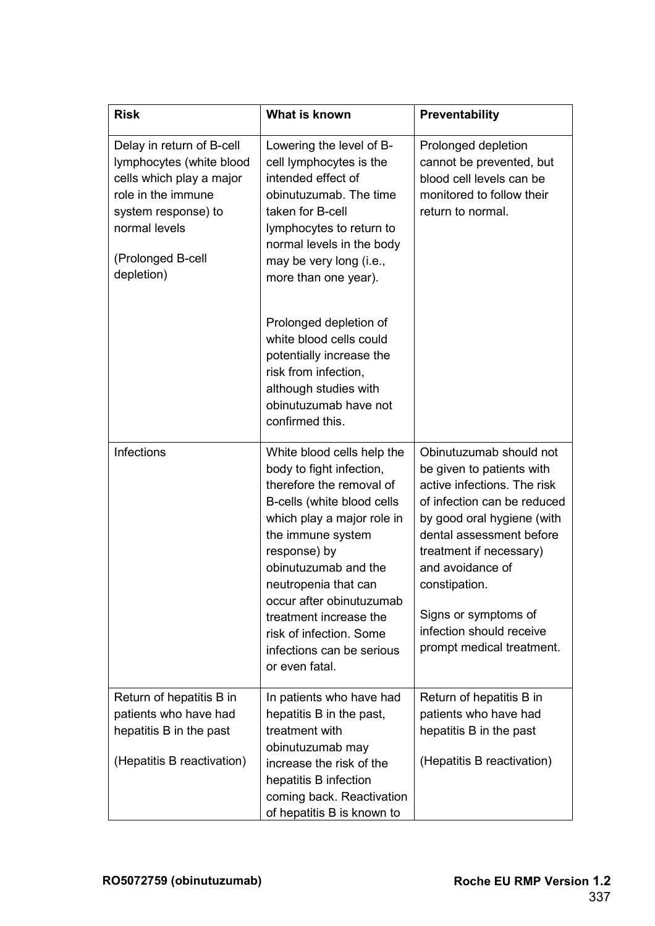| <b>Risk</b>                                                                                                                                                                        | What is known                                                                                                                                                                                                                                                                                                                                                       | Preventability                                                                                                                                                                                                                                                                                                                |
|------------------------------------------------------------------------------------------------------------------------------------------------------------------------------------|---------------------------------------------------------------------------------------------------------------------------------------------------------------------------------------------------------------------------------------------------------------------------------------------------------------------------------------------------------------------|-------------------------------------------------------------------------------------------------------------------------------------------------------------------------------------------------------------------------------------------------------------------------------------------------------------------------------|
| Delay in return of B-cell<br>lymphocytes (white blood<br>cells which play a major<br>role in the immune<br>system response) to<br>normal levels<br>(Prolonged B-cell<br>depletion) | Lowering the level of B-<br>cell lymphocytes is the<br>intended effect of<br>obinutuzumab. The time<br>taken for B-cell<br>lymphocytes to return to<br>normal levels in the body<br>may be very long (i.e.,<br>more than one year).                                                                                                                                 | Prolonged depletion<br>cannot be prevented, but<br>blood cell levels can be<br>monitored to follow their<br>return to normal.                                                                                                                                                                                                 |
|                                                                                                                                                                                    | Prolonged depletion of<br>white blood cells could<br>potentially increase the<br>risk from infection,<br>although studies with<br>obinutuzumab have not<br>confirmed this.                                                                                                                                                                                          |                                                                                                                                                                                                                                                                                                                               |
| Infections                                                                                                                                                                         | White blood cells help the<br>body to fight infection,<br>therefore the removal of<br>B-cells (white blood cells<br>which play a major role in<br>the immune system<br>response) by<br>obinutuzumab and the<br>neutropenia that can<br>occur after obinutuzumab<br>treatment increase the<br>risk of infection. Some<br>infections can be serious<br>or even fatal. | Obinutuzumab should not<br>be given to patients with<br>active infections. The risk<br>of infection can be reduced<br>by good oral hygiene (with<br>dental assessment before<br>treatment if necessary)<br>and avoidance of<br>constipation.<br>Signs or symptoms of<br>infection should receive<br>prompt medical treatment. |
| Return of hepatitis B in<br>patients who have had<br>hepatitis B in the past<br>(Hepatitis B reactivation)                                                                         | In patients who have had<br>hepatitis B in the past,<br>treatment with<br>obinutuzumab may<br>increase the risk of the<br>hepatitis B infection<br>coming back. Reactivation<br>of hepatitis B is known to                                                                                                                                                          | Return of hepatitis B in<br>patients who have had<br>hepatitis B in the past<br>(Hepatitis B reactivation)                                                                                                                                                                                                                    |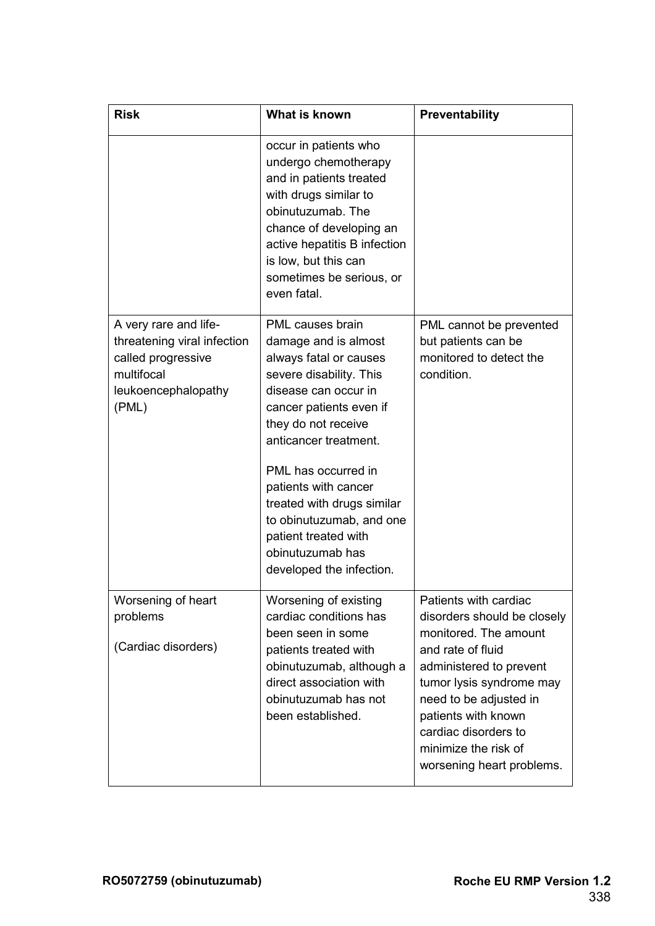| <b>Risk</b>                                                                                                              | What is known                                                                                                                                                                                                                                                                                                                                                                     | Preventability                                                                                                                                                                                                                                                                          |
|--------------------------------------------------------------------------------------------------------------------------|-----------------------------------------------------------------------------------------------------------------------------------------------------------------------------------------------------------------------------------------------------------------------------------------------------------------------------------------------------------------------------------|-----------------------------------------------------------------------------------------------------------------------------------------------------------------------------------------------------------------------------------------------------------------------------------------|
|                                                                                                                          | occur in patients who<br>undergo chemotherapy<br>and in patients treated<br>with drugs similar to<br>obinutuzumab. The<br>chance of developing an<br>active hepatitis B infection<br>is low, but this can<br>sometimes be serious, or<br>even fatal.                                                                                                                              |                                                                                                                                                                                                                                                                                         |
| A very rare and life-<br>threatening viral infection<br>called progressive<br>multifocal<br>leukoencephalopathy<br>(PML) | PML causes brain<br>damage and is almost<br>always fatal or causes<br>severe disability. This<br>disease can occur in<br>cancer patients even if<br>they do not receive<br>anticancer treatment.<br>PML has occurred in<br>patients with cancer<br>treated with drugs similar<br>to obinutuzumab, and one<br>patient treated with<br>obinutuzumab has<br>developed the infection. | PML cannot be prevented<br>but patients can be<br>monitored to detect the<br>condition.                                                                                                                                                                                                 |
| Worsening of heart<br>problems<br>(Cardiac disorders)                                                                    | Worsening of existing<br>cardiac conditions has<br>been seen in some<br>patients treated with<br>obinutuzumab, although a<br>direct association with<br>obinutuzumab has not<br>been established.                                                                                                                                                                                 | Patients with cardiac<br>disorders should be closely<br>monitored. The amount<br>and rate of fluid<br>administered to prevent<br>tumor lysis syndrome may<br>need to be adjusted in<br>patients with known<br>cardiac disorders to<br>minimize the risk of<br>worsening heart problems. |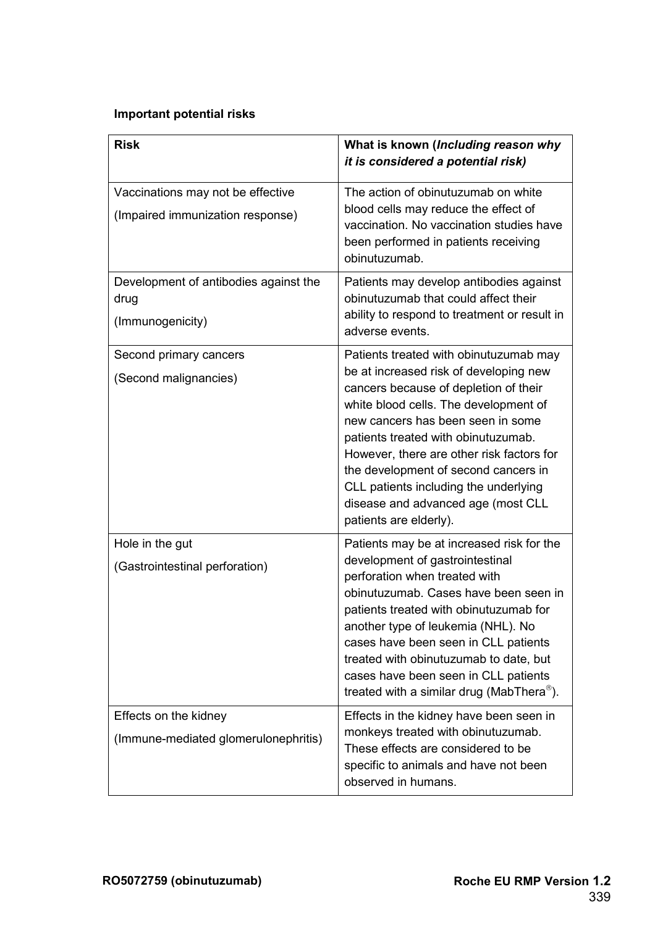## **Important potential risks**

| <b>Risk</b>                                                           | What is known (Including reason why<br>it is considered a potential risk)                                                                                                                                                                                                                                                                                                                                                                    |
|-----------------------------------------------------------------------|----------------------------------------------------------------------------------------------------------------------------------------------------------------------------------------------------------------------------------------------------------------------------------------------------------------------------------------------------------------------------------------------------------------------------------------------|
| Vaccinations may not be effective<br>(Impaired immunization response) | The action of obinutuzumab on white<br>blood cells may reduce the effect of<br>vaccination. No vaccination studies have<br>been performed in patients receiving<br>obinutuzumab.                                                                                                                                                                                                                                                             |
| Development of antibodies against the<br>drug<br>(Immunogenicity)     | Patients may develop antibodies against<br>obinutuzumab that could affect their<br>ability to respond to treatment or result in<br>adverse events.                                                                                                                                                                                                                                                                                           |
| Second primary cancers<br>(Second malignancies)                       | Patients treated with obinutuzumab may<br>be at increased risk of developing new<br>cancers because of depletion of their<br>white blood cells. The development of<br>new cancers has been seen in some<br>patients treated with obinutuzumab.<br>However, there are other risk factors for<br>the development of second cancers in<br>CLL patients including the underlying<br>disease and advanced age (most CLL<br>patients are elderly). |
| Hole in the gut<br>(Gastrointestinal perforation)                     | Patients may be at increased risk for the<br>development of gastrointestinal<br>perforation when treated with<br>obinutuzumab. Cases have been seen in<br>patients treated with obinutuzumab for<br>another type of leukemia (NHL). No<br>cases have been seen in CLL patients<br>treated with obinutuzumab to date, but<br>cases have been seen in CLL patients<br>treated with a similar drug (MabThera $^{\circ}$ ).                      |
| Effects on the kidney<br>(Immune-mediated glomerulonephritis)         | Effects in the kidney have been seen in<br>monkeys treated with obinutuzumab.<br>These effects are considered to be<br>specific to animals and have not been<br>observed in humans.                                                                                                                                                                                                                                                          |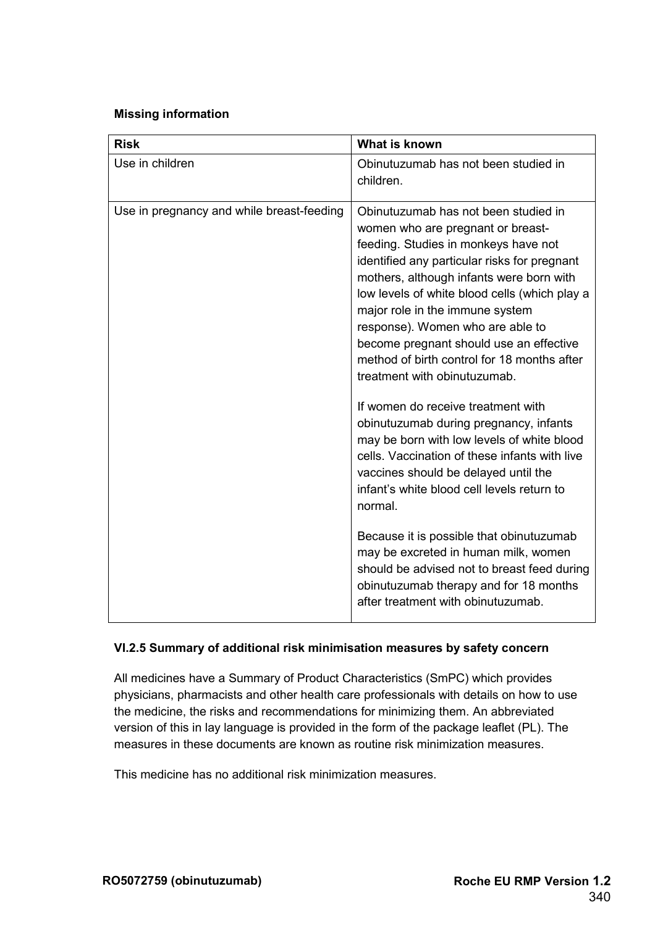## **Missing information**

| <b>Risk</b>                               | What is known                                                                                                                                                                                                                                                                                                                                                                                                                                                                                                                                                                                 |
|-------------------------------------------|-----------------------------------------------------------------------------------------------------------------------------------------------------------------------------------------------------------------------------------------------------------------------------------------------------------------------------------------------------------------------------------------------------------------------------------------------------------------------------------------------------------------------------------------------------------------------------------------------|
| Use in children                           | Obinutuzumab has not been studied in<br>children.                                                                                                                                                                                                                                                                                                                                                                                                                                                                                                                                             |
| Use in pregnancy and while breast-feeding | Obinutuzumab has not been studied in<br>women who are pregnant or breast-<br>feeding. Studies in monkeys have not<br>identified any particular risks for pregnant<br>mothers, although infants were born with<br>low levels of white blood cells (which play a<br>major role in the immune system<br>response). Women who are able to<br>become pregnant should use an effective<br>method of birth control for 18 months after<br>treatment with obinutuzumab.<br>If women do receive treatment with<br>obinutuzumab during pregnancy, infants<br>may be born with low levels of white blood |
|                                           | cells. Vaccination of these infants with live<br>vaccines should be delayed until the<br>infant's white blood cell levels return to<br>normal.                                                                                                                                                                                                                                                                                                                                                                                                                                                |
|                                           | Because it is possible that obinutuzumab<br>may be excreted in human milk, women<br>should be advised not to breast feed during<br>obinutuzumab therapy and for 18 months<br>after treatment with obinutuzumab.                                                                                                                                                                                                                                                                                                                                                                               |

#### **VI.2.5 Summary of additional risk minimisation measures by safety concern**

All medicines have a Summary of Product Characteristics (SmPC) which provides physicians, pharmacists and other health care professionals with details on how to use the medicine, the risks and recommendations for minimizing them. An abbreviated version of this in lay language is provided in the form of the package leaflet (PL). The measures in these documents are known as routine risk minimization measures.

This medicine has no additional risk minimization measures.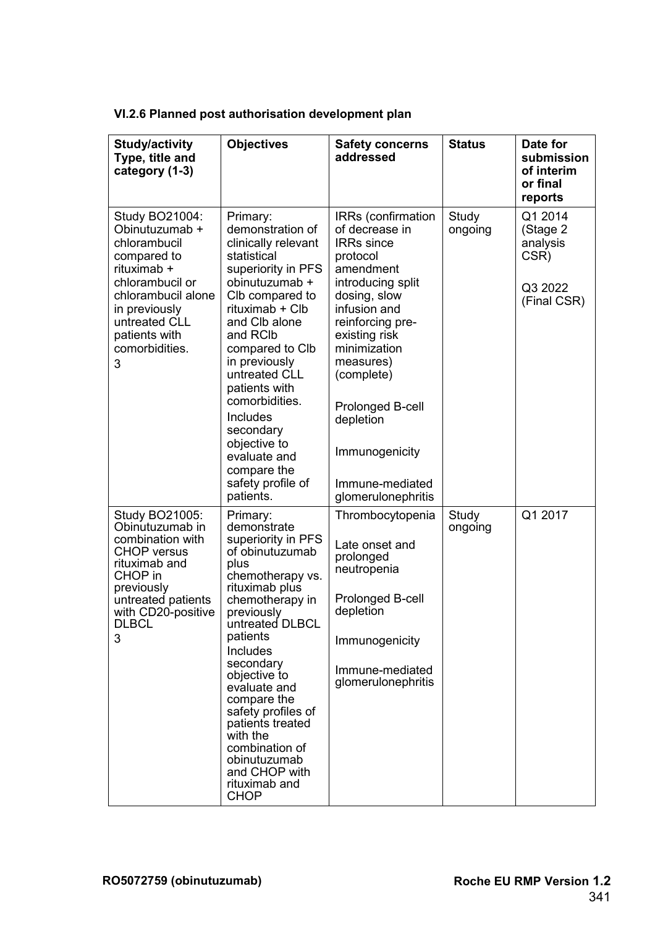| VI.2.6 Planned post authorisation development plan |  |  |
|----------------------------------------------------|--|--|
|                                                    |  |  |

| Study/activity<br>Type, title and<br>category (1-3)                                                                                                                                               | <b>Objectives</b>                                                                                                                                                                                                                                                                                                                                                                               | <b>Safety concerns</b><br>addressed                                                                                                                                                                                                                                                                                 | <b>Status</b>    | Date for<br>submission<br>of interim<br>or final<br>reports       |
|---------------------------------------------------------------------------------------------------------------------------------------------------------------------------------------------------|-------------------------------------------------------------------------------------------------------------------------------------------------------------------------------------------------------------------------------------------------------------------------------------------------------------------------------------------------------------------------------------------------|---------------------------------------------------------------------------------------------------------------------------------------------------------------------------------------------------------------------------------------------------------------------------------------------------------------------|------------------|-------------------------------------------------------------------|
| Study BO21004:<br>Obinutuzumab +<br>chlorambucil<br>compared to<br>rituximab +<br>chlorambucil or<br>chlorambucil alone<br>in previously<br>untreated CLL<br>patients with<br>comorbidities.<br>3 | Primary:<br>demonstration of<br>clinically relevant<br>statistical<br>superiority in PFS<br>obinutuzumab +<br>Clb compared to<br>rituximab + Clb<br>and Clb alone<br>and RCIb<br>compared to Clb<br>in previously<br>untreated CLL<br>patients with<br>comorbidities.<br>Includes<br>secondary<br>objective to<br>evaluate and<br>compare the<br>safety profile of<br>patients.                 | IRRs (confirmation<br>of decrease in<br><b>IRRs</b> since<br>protocol<br>amendment<br>introducing split<br>dosing, slow<br>infusion and<br>reinforcing pre-<br>existing risk<br>minimization<br>measures)<br>(complete)<br>Prolonged B-cell<br>depletion<br>Immunogenicity<br>Immune-mediated<br>glomerulonephritis | Study<br>ongoing | Q1 2014<br>(Stage 2<br>analysis<br>CSR)<br>Q3 2022<br>(Final CSR) |
| Study BO21005:<br>Obinutuzumab in<br>combination with<br><b>CHOP</b> versus<br>rituximab and<br>CHOP in<br>previously<br>untreated patients<br>with CD20-positive<br><b>DLBCL</b><br>3            | Primary:<br>demonstrate<br>superiority in PFS<br>of obinutuzumab<br>plus<br>chemotherapy vs.<br>rituximab plus<br>chemotherapy in<br>previously<br>untreated DLBCL<br>patients<br>Includes<br>secondary<br>objective to<br>evaluate and<br>compare the<br>safety profiles of<br>patients treated<br>with the<br>combination of<br>obinutuzumab<br>and CHOP with<br>rituximab and<br><b>CHOP</b> | Thrombocytopenia<br>Late onset and<br>prolonged<br>neutropenia<br>Prolonged B-cell<br>depletion<br>Immunogenicity<br>Immune-mediated<br>glomerulonephritis                                                                                                                                                          | Study<br>ongoing | Q1 2017                                                           |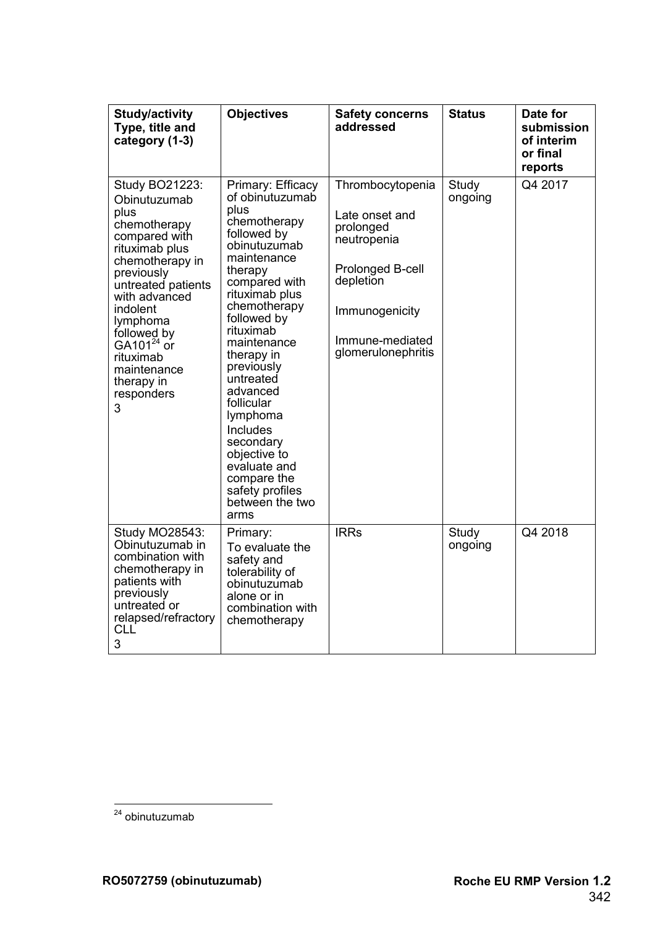| <b>Study/activity</b><br>Type, title and<br>category (1-3)                                                                                                                                                                                                                                       | <b>Objectives</b>                                                                                                                                                                                                                                                                                                                                                                                                               | <b>Safety concerns</b><br>addressed                                                                                                                        | <b>Status</b>    | Date for<br>submission<br>of interim<br>or final<br>reports |
|--------------------------------------------------------------------------------------------------------------------------------------------------------------------------------------------------------------------------------------------------------------------------------------------------|---------------------------------------------------------------------------------------------------------------------------------------------------------------------------------------------------------------------------------------------------------------------------------------------------------------------------------------------------------------------------------------------------------------------------------|------------------------------------------------------------------------------------------------------------------------------------------------------------|------------------|-------------------------------------------------------------|
| Study BO21223:<br>Obinutuzumab<br>plus<br>chemotherapy<br>compared with<br>rituximab plus<br>chemotherapy in<br>previously<br>untreated patients<br>with advanced<br><i>indolent</i><br>lymphoma<br>followed by<br>GA101 $^{24}$ or<br>rituximab<br>maintenance<br>therapy in<br>responders<br>3 | Primary: Efficacy<br>of obinutuzumab<br>plus<br>chemotherapy<br>followed by<br>obinutuzumab<br>maintenance<br>therapy<br>compared with<br>rituximab plus<br>chemotherapy<br>followed by<br>rituximab<br>maintenance<br>therapy in<br>previously<br>untreated<br>advanced<br>follicular<br>lymphoma<br><b>Includes</b><br>secondary<br>objective to<br>evaluate and<br>compare the<br>safety profiles<br>between the two<br>arms | Thrombocytopenia<br>Late onset and<br>prolonged<br>neutropenia<br>Prolonged B-cell<br>depletion<br>Immunogenicity<br>Immune-mediated<br>glomerulonephritis | Study<br>ongoing | Q4 2017                                                     |
| Study MO28543:<br>Obinutuzumab in<br>combination with<br>chemotherapy in<br>patients with<br>previously<br>untreated or<br>relapsed/refractory<br><b>CLL</b><br>3                                                                                                                                | Primary:<br>To evaluate the<br>safety and<br>tolerability of<br>obinutuzumab<br>alone or in<br>combination with<br>chemotherapy                                                                                                                                                                                                                                                                                                 | <b>IRRs</b>                                                                                                                                                | Study<br>ongoing | Q4 2018                                                     |

 $\overline{a}$ <sup>24</sup> obinutuzumab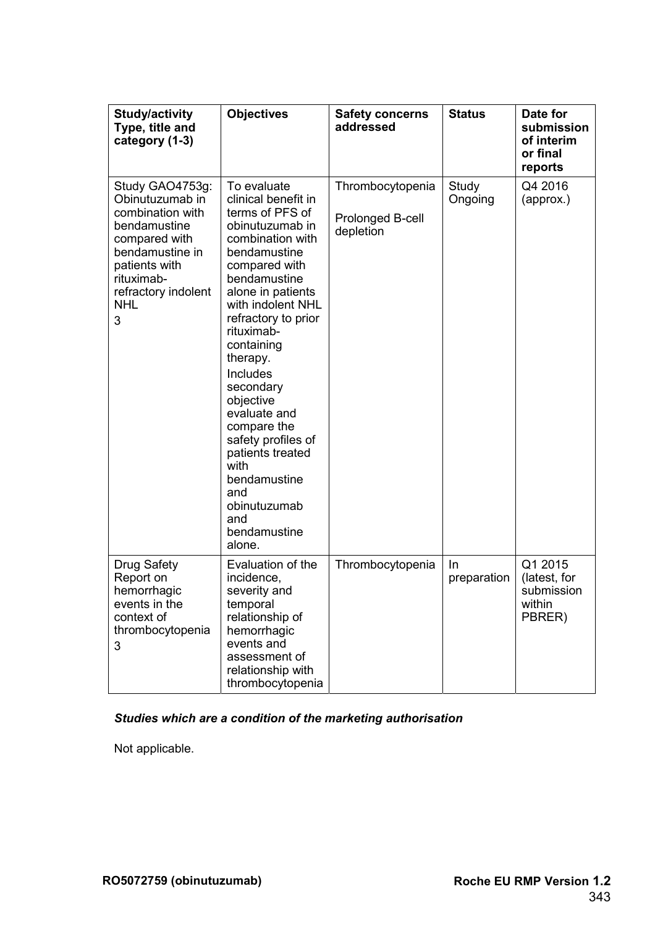| <b>Study/activity</b><br>Type, title and<br>category (1-3)                                                                                                                          | <b>Objectives</b>                                                                                                                                                                                                                                                                                                                                                                                                                                            | <b>Safety concerns</b><br>addressed               | <b>Status</b>     | Date for<br>submission<br>of interim<br>or final<br>reports |
|-------------------------------------------------------------------------------------------------------------------------------------------------------------------------------------|--------------------------------------------------------------------------------------------------------------------------------------------------------------------------------------------------------------------------------------------------------------------------------------------------------------------------------------------------------------------------------------------------------------------------------------------------------------|---------------------------------------------------|-------------------|-------------------------------------------------------------|
| Study GAO4753g:<br>Obinutuzumab in<br>combination with<br>bendamustine<br>compared with<br>bendamustine in<br>patients with<br>rituximab-<br>refractory indolent<br><b>NHL</b><br>3 | To evaluate<br>clinical benefit in<br>terms of PFS of<br>obinutuzumab in<br>combination with<br>bendamustine<br>compared with<br>bendamustine<br>alone in patients<br>with indolent NHL<br>refractory to prior<br>rituximab-<br>containing<br>therapy.<br><b>Includes</b><br>secondary<br>objective<br>evaluate and<br>compare the<br>safety profiles of<br>patients treated<br>with<br>bendamustine<br>and<br>obinutuzumab<br>and<br>bendamustine<br>alone. | Thrombocytopenia<br>Prolonged B-cell<br>depletion | Study<br>Ongoing  | Q4 2016<br>(approx.)                                        |
| <b>Drug Safety</b><br>Report on<br>hemorrhagic<br>events in the<br>context of<br>thrombocytopenia<br>3                                                                              | Evaluation of the<br>incidence,<br>severity and<br>temporal<br>relationship of<br>hemorrhagic<br>events and<br>assessment of<br>relationship with<br>thrombocytopenia                                                                                                                                                                                                                                                                                        | Thrombocytopenia                                  | In<br>preparation | Q1 2015<br>(latest, for<br>submission<br>within<br>PBRER)   |

# *Studies which are a condition of the marketing authorisation*

Not applicable.